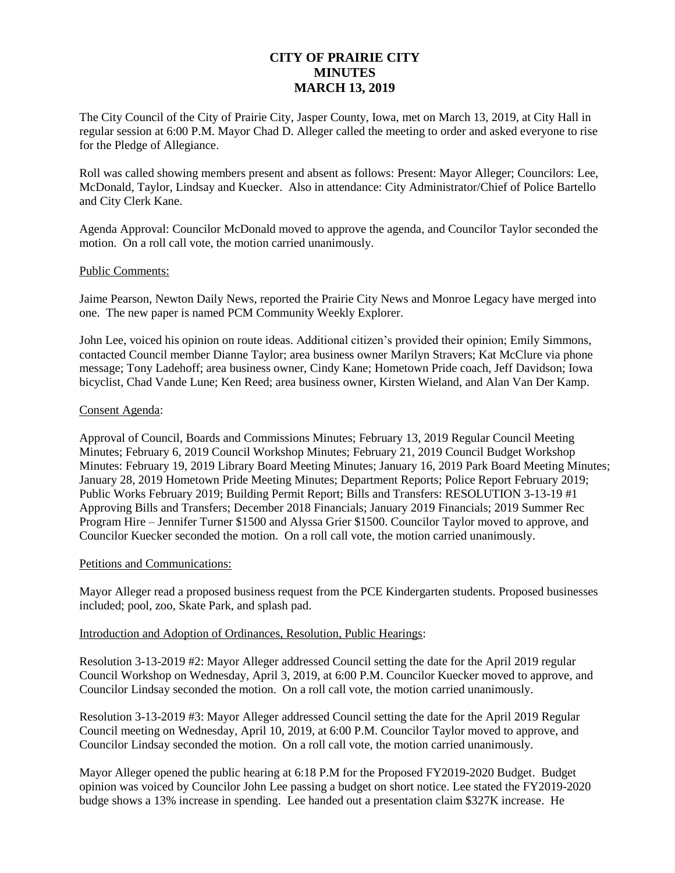# **CITY OF PRAIRIE CITY MINUTES MARCH 13, 2019**

The City Council of the City of Prairie City, Jasper County, Iowa, met on March 13, 2019, at City Hall in regular session at 6:00 P.M. Mayor Chad D. Alleger called the meeting to order and asked everyone to rise for the Pledge of Allegiance.

Roll was called showing members present and absent as follows: Present: Mayor Alleger; Councilors: Lee, McDonald, Taylor, Lindsay and Kuecker. Also in attendance: City Administrator/Chief of Police Bartello and City Clerk Kane.

Agenda Approval: Councilor McDonald moved to approve the agenda, and Councilor Taylor seconded the motion. On a roll call vote, the motion carried unanimously.

### Public Comments:

Jaime Pearson, Newton Daily News, reported the Prairie City News and Monroe Legacy have merged into one. The new paper is named PCM Community Weekly Explorer.

John Lee, voiced his opinion on route ideas. Additional citizen's provided their opinion; Emily Simmons, contacted Council member Dianne Taylor; area business owner Marilyn Stravers; Kat McClure via phone message; Tony Ladehoff; area business owner, Cindy Kane; Hometown Pride coach, Jeff Davidson; Iowa bicyclist, Chad Vande Lune; Ken Reed; area business owner, Kirsten Wieland, and Alan Van Der Kamp.

#### Consent Agenda:

Approval of Council, Boards and Commissions Minutes; February 13, 2019 Regular Council Meeting Minutes; February 6, 2019 Council Workshop Minutes; February 21, 2019 Council Budget Workshop Minutes: February 19, 2019 Library Board Meeting Minutes; January 16, 2019 Park Board Meeting Minutes; January 28, 2019 Hometown Pride Meeting Minutes; Department Reports; Police Report February 2019; Public Works February 2019; Building Permit Report; Bills and Transfers: RESOLUTION 3-13-19 #1 Approving Bills and Transfers; December 2018 Financials; January 2019 Financials; 2019 Summer Rec Program Hire – Jennifer Turner \$1500 and Alyssa Grier \$1500. Councilor Taylor moved to approve, and Councilor Kuecker seconded the motion. On a roll call vote, the motion carried unanimously.

## Petitions and Communications:

Mayor Alleger read a proposed business request from the PCE Kindergarten students. Proposed businesses included; pool, zoo, Skate Park, and splash pad.

### Introduction and Adoption of Ordinances, Resolution, Public Hearings:

Resolution 3-13-2019 #2: Mayor Alleger addressed Council setting the date for the April 2019 regular Council Workshop on Wednesday, April 3, 2019, at 6:00 P.M. Councilor Kuecker moved to approve, and Councilor Lindsay seconded the motion. On a roll call vote, the motion carried unanimously.

Resolution 3-13-2019 #3: Mayor Alleger addressed Council setting the date for the April 2019 Regular Council meeting on Wednesday, April 10, 2019, at 6:00 P.M. Councilor Taylor moved to approve, and Councilor Lindsay seconded the motion. On a roll call vote, the motion carried unanimously.

Mayor Alleger opened the public hearing at 6:18 P.M for the Proposed FY2019-2020 Budget. Budget opinion was voiced by Councilor John Lee passing a budget on short notice. Lee stated the FY2019-2020 budge shows a 13% increase in spending. Lee handed out a presentation claim \$327K increase. He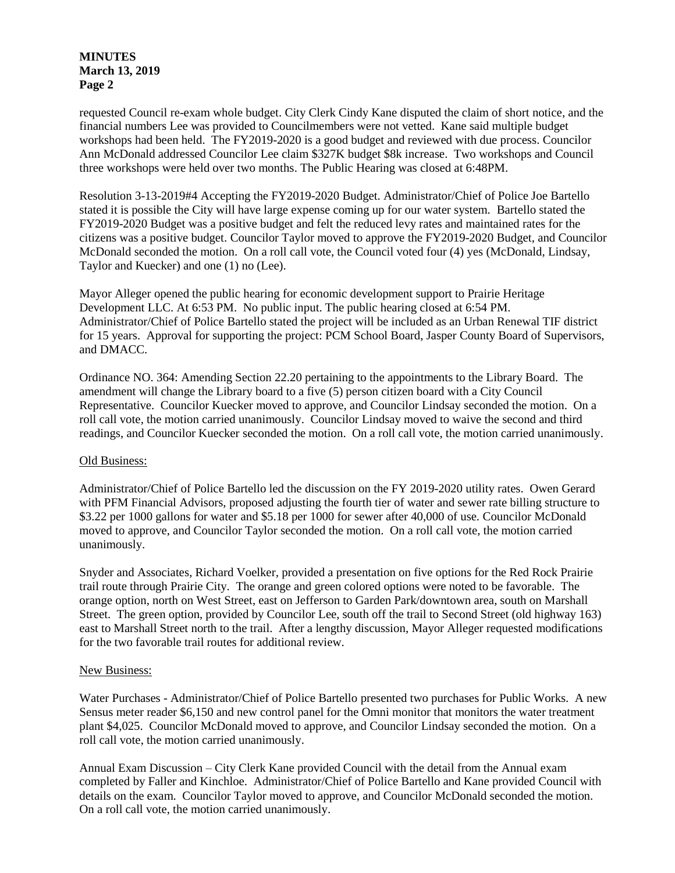### **MINUTES March 13, 2019 Page 2**

requested Council re-exam whole budget. City Clerk Cindy Kane disputed the claim of short notice, and the financial numbers Lee was provided to Councilmembers were not vetted. Kane said multiple budget workshops had been held. The FY2019-2020 is a good budget and reviewed with due process. Councilor Ann McDonald addressed Councilor Lee claim \$327K budget \$8k increase. Two workshops and Council three workshops were held over two months. The Public Hearing was closed at 6:48PM.

Resolution 3-13-2019#4 Accepting the FY2019-2020 Budget. Administrator/Chief of Police Joe Bartello stated it is possible the City will have large expense coming up for our water system. Bartello stated the FY2019-2020 Budget was a positive budget and felt the reduced levy rates and maintained rates for the citizens was a positive budget. Councilor Taylor moved to approve the FY2019-2020 Budget, and Councilor McDonald seconded the motion. On a roll call vote, the Council voted four (4) yes (McDonald, Lindsay, Taylor and Kuecker) and one (1) no (Lee).

Mayor Alleger opened the public hearing for economic development support to Prairie Heritage Development LLC. At 6:53 PM. No public input. The public hearing closed at 6:54 PM. Administrator/Chief of Police Bartello stated the project will be included as an Urban Renewal TIF district for 15 years. Approval for supporting the project: PCM School Board, Jasper County Board of Supervisors, and DMACC.

Ordinance NO. 364: Amending Section 22.20 pertaining to the appointments to the Library Board. The amendment will change the Library board to a five (5) person citizen board with a City Council Representative. Councilor Kuecker moved to approve, and Councilor Lindsay seconded the motion. On a roll call vote, the motion carried unanimously. Councilor Lindsay moved to waive the second and third readings, and Councilor Kuecker seconded the motion. On a roll call vote, the motion carried unanimously.

### Old Business:

Administrator/Chief of Police Bartello led the discussion on the FY 2019-2020 utility rates. Owen Gerard with PFM Financial Advisors, proposed adjusting the fourth tier of water and sewer rate billing structure to \$3.22 per 1000 gallons for water and \$5.18 per 1000 for sewer after 40,000 of use. Councilor McDonald moved to approve, and Councilor Taylor seconded the motion. On a roll call vote, the motion carried unanimously.

Snyder and Associates, Richard Voelker, provided a presentation on five options for the Red Rock Prairie trail route through Prairie City. The orange and green colored options were noted to be favorable. The orange option, north on West Street, east on Jefferson to Garden Park/downtown area, south on Marshall Street. The green option, provided by Councilor Lee, south off the trail to Second Street (old highway 163) east to Marshall Street north to the trail. After a lengthy discussion, Mayor Alleger requested modifications for the two favorable trail routes for additional review.

### New Business:

Water Purchases - Administrator/Chief of Police Bartello presented two purchases for Public Works. A new Sensus meter reader \$6,150 and new control panel for the Omni monitor that monitors the water treatment plant \$4,025. Councilor McDonald moved to approve, and Councilor Lindsay seconded the motion. On a roll call vote, the motion carried unanimously.

Annual Exam Discussion – City Clerk Kane provided Council with the detail from the Annual exam completed by Faller and Kinchloe. Administrator/Chief of Police Bartello and Kane provided Council with details on the exam. Councilor Taylor moved to approve, and Councilor McDonald seconded the motion. On a roll call vote, the motion carried unanimously.